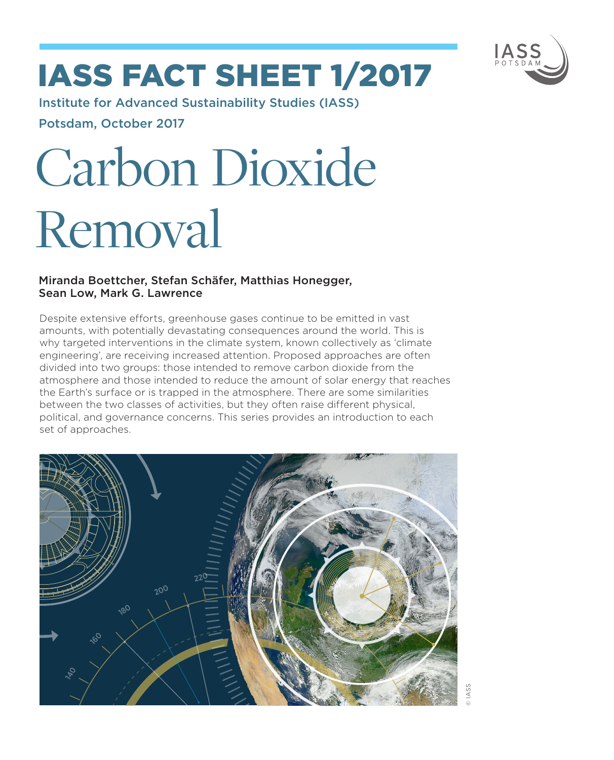

# IASS fact sheet 1/2017

Institute for Advanced Sustainability Studies (IASS) Potsdam, October 2017

# Carbon Dioxide Removal

# Miranda Boettcher, Stefan Schäfer, Matthias Honegger, Sean Low, Mark G. Lawrence

Despite extensive efforts, greenhouse gases continue to be emitted in vast amounts, with potentially devastating consequences around the world. This is why targeted interventions in the climate system, known collectively as 'climate engineering', are receiving increased attention. Proposed approaches are often divided into two groups: those intended to remove carbon dioxide from the atmosphere and those intended to reduce the amount of solar energy that reaches the Earth's surface or is trapped in the atmosphere. There are some similarities between the two classes of activities, but they often raise different physical, political, and governance concerns. This series provides an introduction to each set of approaches.

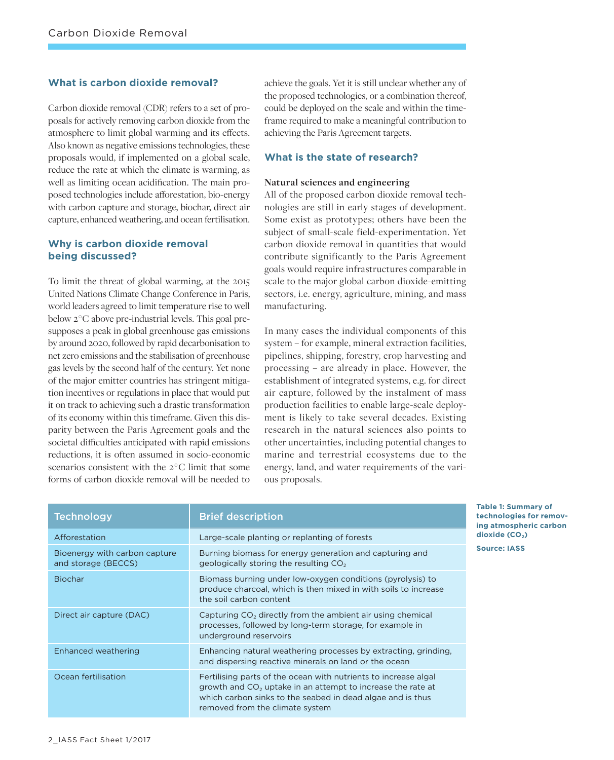# **What is carbon dioxide removal?**

Carbon dioxide removal (CDR) refers to a set of proposals for actively removing carbon dioxide from the atmosphere to limit global warming and its effects. Also known as negative emissions technologies, these proposals would, if implemented on a global scale, reduce the rate at which the climate is warming, as well as limiting ocean acidification. The main proposed technologies include afforestation, bio-energy with carbon capture and storage, biochar, direct air capture, enhanced weathering, and ocean fertilisation.

# **Why is carbon dioxide removal being discussed?**

To limit the threat of global warming, at the 2015 United Nations Climate Change Conference in Paris, world leaders agreed to limit temperature rise to well below 2 ° C above pre-industrial levels. This goal presupposes a peak in global greenhouse gas emissions by around 2020, followed by rapid decarbonisation to net zero emissions and the stabilisation of greenhouse gas levels by the second half of the century. Yet none of the major emitter countries has stringent mitigation incentives or regulations in place that would put it on track to achieving such a drastic transformation of its economy within this timeframe. Given this disparity between the Paris Agreement goals and the societal difficulties anticipated with rapid emissions reductions, it is often assumed in socio-economic scenarios consistent with the 2 ° C limit that some forms of carbon dioxide removal will be needed to

achieve the goals. Yet it is still unclear whether any of the proposed technologies, or a combination thereof, could be deployed on the scale and within the timeframe required to make a meaningful contribution to achieving the Paris Agreement targets.

### **What is the state of research?**

#### **Natural sciences and engineering**

All of the proposed carbon dioxide removal technologies are still in early stages of development. Some exist as prototypes; others have been the subject of small-scale field-experimentation. Yet carbon dioxide removal in quantities that would contribute significantly to the Paris Agreement goals would require infrastructures comparable in scale to the major global carbon dioxide-emitting sectors, i.e. energy, agriculture, mining, and mass manufacturing.

In many cases the individual components of this system – for example, mineral extraction facilities, pipelines, shipping, forestry, crop harvesting and processing – are already in place. However, the establishment of integrated systems, e.g. for direct air capture, followed by the instalment of mass production facilities to enable large-scale deployment is likely to take several decades. Existing research in the natural sciences also points to other uncertainties, including potential changes to marine and terrestrial ecosystems due to the energy, land, and water requirements of the various proposals.

| <b>Technology</b>                                    | <b>Brief description</b>                                                                                                                                                                                                          |
|------------------------------------------------------|-----------------------------------------------------------------------------------------------------------------------------------------------------------------------------------------------------------------------------------|
| Afforestation                                        | Large-scale planting or replanting of forests                                                                                                                                                                                     |
| Bioenergy with carbon capture<br>and storage (BECCS) | Burning biomass for energy generation and capturing and<br>geologically storing the resulting CO <sub>2</sub>                                                                                                                     |
| <b>Biochar</b>                                       | Biomass burning under low-oxygen conditions (pyrolysis) to<br>produce charcoal, which is then mixed in with soils to increase<br>the soil carbon content                                                                          |
| Direct air capture (DAC)                             | Capturing $CO2$ directly from the ambient air using chemical<br>processes, followed by long-term storage, for example in<br>underground reservoirs                                                                                |
| Enhanced weathering                                  | Enhancing natural weathering processes by extracting, grinding,<br>and dispersing reactive minerals on land or the ocean                                                                                                          |
| Ocean fertilisation                                  | Fertilising parts of the ocean with nutrients to increase algal<br>growth and $CO2$ uptake in an attempt to increase the rate at<br>which carbon sinks to the seabed in dead algae and is thus<br>removed from the climate system |

**Table 1: Summary of technologies for removing atmospheric carbon**  dioxide (CO<sub>2</sub>)

**Source: IASS**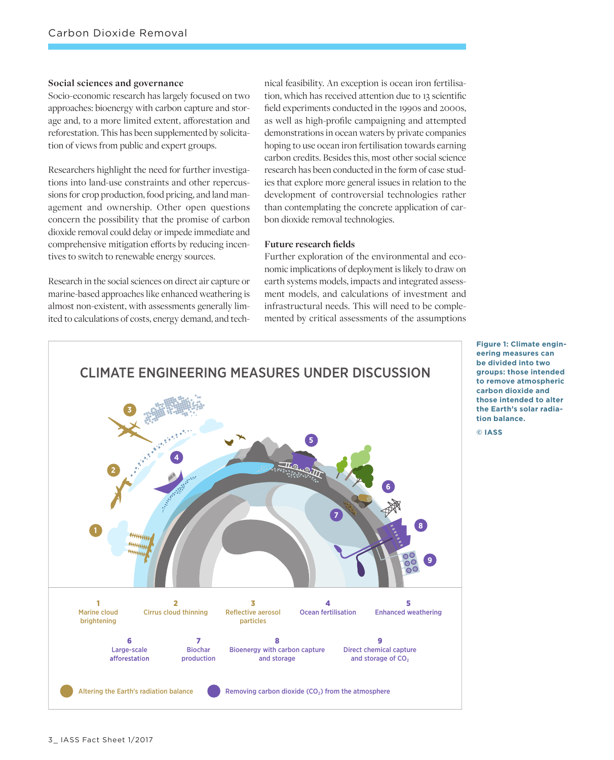#### **Social sciences and governance**

Socio-economic research has largely focused on two approaches: bioenergy with carbon capture and storage and, to a more limited extent, afforestation and reforestation. This has been supplemented by solicitation of views from public and expert groups.

Researchers highlight the need for further investigations into land-use constraints and other repercussions for crop production, food pricing, and land management and ownership. Other open questions concern the possibility that the promise of carbon dioxide removal could delay or impede immediate and comprehensive mitigation efforts by reducing incentives to switch to renewable energy sources.

Research in the social sciences on direct air capture or marine-based approaches like enhanced weathering is almost non-existent, with assessments generally limited to calculations of costs, energy demand, and technical feasibility. An exception is ocean iron fertilisation, which has received attention due to 13 scientific field experiments conducted in the 1990s and 2000s, as well as high-profile campaigning and attempted demonstrations in ocean waters by private companies hoping to use ocean iron fertilisation towards earning carbon credits. Besides this, most other social science research has been conducted in the form of case studies that explore more general issues in relation to the development of controversial technologies rather than contemplating the concrete application of carbon dioxide removal technologies.

#### **Future research fields**

Further exploration of the environmental and economic implications of deployment is likely to draw on earth systems models, impacts and integrated assessment models, and calculations of investment and infrastructural needs. This will need to be complemented by critical assessments of the assumptions



**Figure 1: Climate engineering measures can be divided into two groups: those intended to remove atmospheric carbon dioxide and those intended to alter the Earth's solar radiation balance.** 

**© IASS**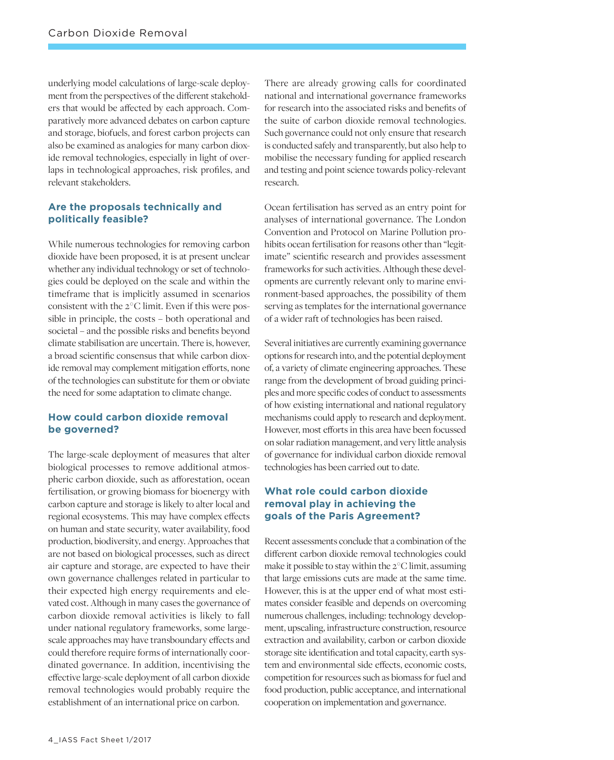underlying model calculations of large-scale deployment from the perspectives of the different stakeholders that would be affected by each approach. Comparatively more advanced debates on carbon capture and storage, biofuels, and forest carbon projects can also be examined as analogies for many carbon dioxide removal technologies, especially in light of overlaps in technological approaches, risk profiles, and relevant stakeholders.

# **Are the proposals technically and politically feasible?**

While numerous technologies for removing carbon dioxide have been proposed, it is at present unclear whether any individual technology or set of technologies could be deployed on the scale and within the timeframe that is implicitly assumed in scenarios consistent with the  $2^{\circ}$ C limit. Even if this were possible in principle, the costs – both operational and societal – and the possible risks and benefits beyond climate stabilisation are uncertain. There is, however, a broad scientific consensus that while carbon dioxide removal may complement mitigation efforts, none of the technologies can substitute for them or obviate the need for some adaptation to climate change.

# **How could carbon dioxide removal be governed?**

The large-scale deployment of measures that alter biological processes to remove additional atmospheric carbon dioxide, such as afforestation, ocean fertilisation, or growing biomass for bioenergy with carbon capture and storage is likely to alter local and regional ecosystems. This may have complex effects on human and state security, water availability, food production, biodiversity, and energy. Approaches that are not based on biological processes, such as direct air capture and storage, are expected to have their own governance challenges related in particular to their expected high energy requirements and elevated cost. Although in many cases the governance of carbon dioxide removal activities is likely to fall under national regulatory frameworks, some largescale approaches may have transboundary effects and could therefore require forms of internationally coordinated governance. In addition, incentivising the effective large-scale deployment of all carbon dioxide removal technologies would probably require the establishment of an international price on carbon.

There are already growing calls for coordinated national and international governance frameworks for research into the associated risks and benefits of the suite of carbon dioxide removal technologies. Such governance could not only ensure that research is conducted safely and transparently, but also help to mobilise the necessary funding for applied research and testing and point science towards policy-relevant research.

Ocean fertilisation has served as an entry point for analyses of international governance. The London Convention and Protocol on Marine Pollution prohibits ocean fertilisation for reasons other than "legitimate" scientific research and provides assessment frameworks for such activities. Although these developments are currently relevant only to marine environment-based approaches, the possibility of them serving as templates for the international governance of a wider raft of technologies has been raised.

Several initiatives are currently examining governance options for research into, and the potential deployment of, a variety of climate engineering approaches. These range from the development of broad guiding principles and more specific codes of conduct to assessments of how existing international and national regulatory mechanisms could apply to research and deployment. However, most efforts in this area have been focussed on solar radiation management, and very little analysis of governance for individual carbon dioxide removal technologies has been carried out to date.

# **What role could carbon dioxide removal play in achieving the goals of the Paris Agreement?**

Recent assessments conclude that a combination of the different carbon dioxide removal technologies could make it possible to stay within the  $2^{\circ}$ C limit, assuming that large emissions cuts are made at the same time. However, this is at the upper end of what most estimates consider feasible and depends on overcoming numerous challenges, including: technology development, upscaling, infrastructure construction, resource extraction and availability, carbon or carbon dioxide storage site identification and total capacity, earth system and environmental side effects, economic costs, competition for resources such as biomass for fuel and food production, public acceptance, and international cooperation on implementation and governance.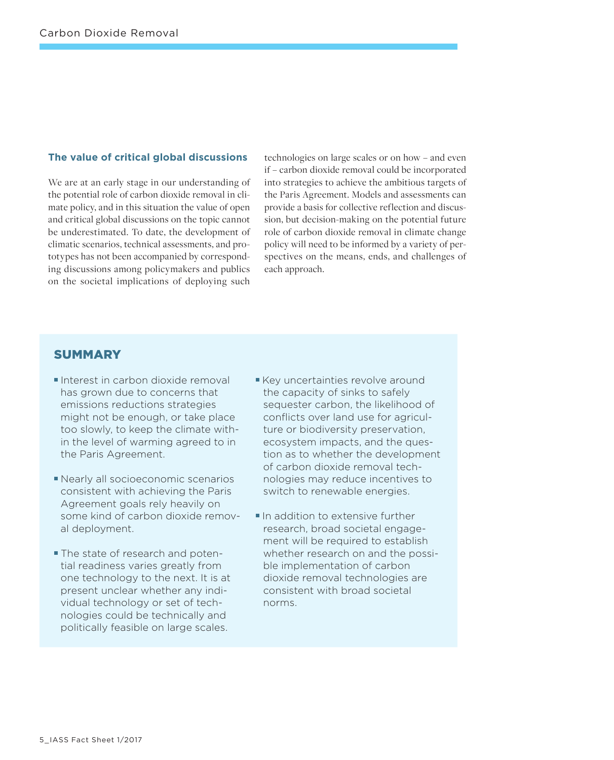# **The value of critical global discussions**

We are at an early stage in our understanding of the potential role of carbon dioxide removal in climate policy, and in this situation the value of open and critical global discussions on the topic cannot be underestimated. To date, the development of climatic scenarios, technical assessments, and prototypes has not been accompanied by corresponding discussions among policymakers and publics on the societal implications of deploying such

technologies on large scales or on how – and even if – carbon dioxide removal could be incorporated into strategies to achieve the ambitious targets of the Paris Agreement. Models and assessments can provide a basis for collective reflection and discussion, but decision-making on the potential future role of carbon dioxide removal in climate change policy will need to be informed by a variety of perspectives on the means, ends, and challenges of each approach.

# **SUMMARY**

- Interest in carbon dioxide removal has grown due to concerns that emissions reductions strategies might not be enough, or take place too slowly, to keep the climate within the level of warming agreed to in the Paris Agreement.
- Nearly all socioeconomic scenarios consistent with achieving the Paris Agreement goals rely heavily on some kind of carbon dioxide removal deployment.
- **The state of research and poten**tial readiness varies greatly from one technology to the next. It is at present unclear whether any individual technology or set of technologies could be technically and politically feasible on large scales.
- Key uncertainties revolve around the capacity of sinks to safely sequester carbon, the likelihood of conflicts over land use for agriculture or biodiversity preservation, ecosystem impacts, and the question as to whether the development of carbon dioxide removal technologies may reduce incentives to switch to renewable energies.
- In addition to extensive further research, broad societal engagement will be required to establish whether research on and the possible implementation of carbon dioxide removal technologies are consistent with broad societal norms.